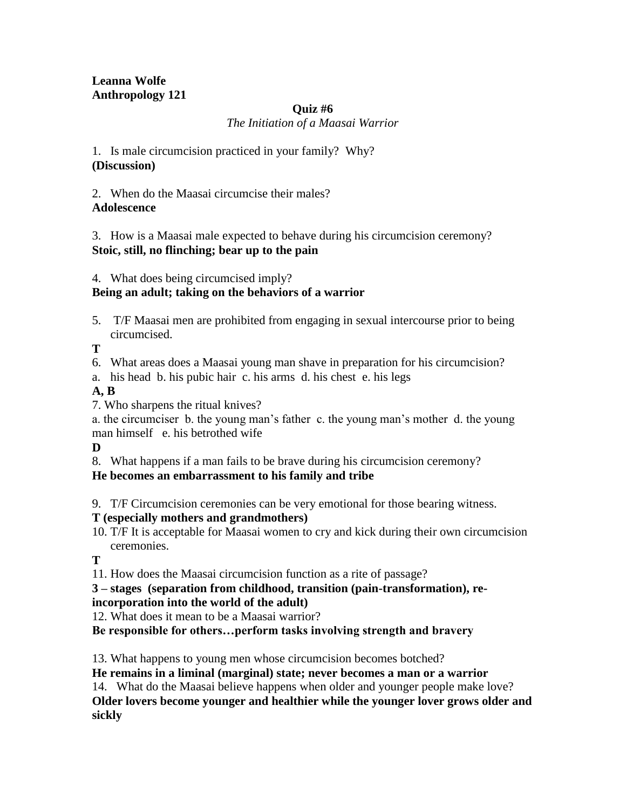#### **Leanna Wolfe Anthropology 121**

#### **Quiz #6**

*The Initiation of a Maasai Warrior*

1. Is male circumcision practiced in your family? Why? **(Discussion)**

2. When do the Maasai circumcise their males? **Adolescence**

3. How is a Maasai male expected to behave during his circumcision ceremony? **Stoic, still, no flinching; bear up to the pain**

4. What does being circumcised imply?

# **Being an adult; taking on the behaviors of a warrior**

5. T/F Maasai men are prohibited from engaging in sexual intercourse prior to being circumcised.

**T**

- 6. What areas does a Maasai young man shave in preparation for his circumcision?
- a. his head b. his pubic hair c. his arms d. his chest e. his legs

#### **A, B**

7. Who sharpens the ritual knives?

a. the circumciser b. the young man's father c. the young man's mother d. the young man himself e. his betrothed wife

**D**

8. What happens if a man fails to be brave during his circumcision ceremony?

# **He becomes an embarrassment to his family and tribe**

9. T/F Circumcision ceremonies can be very emotional for those bearing witness.

#### **T (especially mothers and grandmothers)**

10. T/F It is acceptable for Maasai women to cry and kick during their own circumcision ceremonies.

**T**

11. How does the Maasai circumcision function as a rite of passage?

# **3 – stages (separation from childhood, transition (pain-transformation), re-**

# **incorporation into the world of the adult)**

12. What does it mean to be a Maasai warrior?

**Be responsible for others…perform tasks involving strength and bravery**

13. What happens to young men whose circumcision becomes botched?

**He remains in a liminal (marginal) state; never becomes a man or a warrior**

14. What do the Maasai believe happens when older and younger people make love? **Older lovers become younger and healthier while the younger lover grows older and sickly**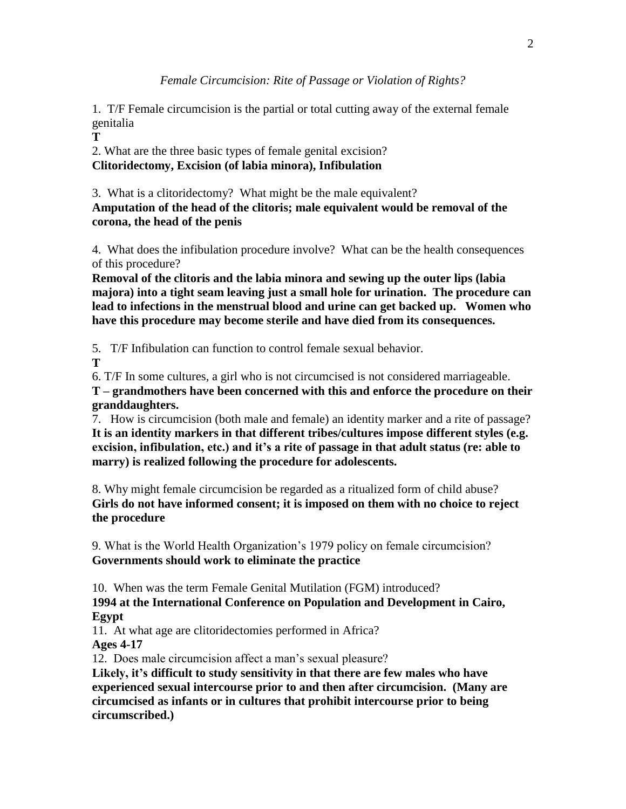1. T/F Female circumcision is the partial or total cutting away of the external female genitalia

**T**

2. What are the three basic types of female genital excision? **Clitoridectomy, Excision (of labia minora), Infibulation**

3. What is a clitoridectomy? What might be the male equivalent? **Amputation of the head of the clitoris; male equivalent would be removal of the corona, the head of the penis**

4. What does the infibulation procedure involve? What can be the health consequences of this procedure?

**Removal of the clitoris and the labia minora and sewing up the outer lips (labia majora) into a tight seam leaving just a small hole for urination. The procedure can lead to infections in the menstrual blood and urine can get backed up. Women who have this procedure may become sterile and have died from its consequences.**

5. T/F Infibulation can function to control female sexual behavior.

**T**

6. T/F In some cultures, a girl who is not circumcised is not considered marriageable.

**T – grandmothers have been concerned with this and enforce the procedure on their granddaughters.**

7. How is circumcision (both male and female) an identity marker and a rite of passage? **It is an identity markers in that different tribes/cultures impose different styles (e.g. excision, infibulation, etc.) and it's a rite of passage in that adult status (re: able to marry) is realized following the procedure for adolescents.**

8. Why might female circumcision be regarded as a ritualized form of child abuse? **Girls do not have informed consent; it is imposed on them with no choice to reject the procedure**

9. What is the World Health Organization's 1979 policy on female circumcision? **Governments should work to eliminate the practice**

10. When was the term Female Genital Mutilation (FGM) introduced?

**1994 at the International Conference on Population and Development in Cairo, Egypt**

11. At what age are clitoridectomies performed in Africa? **Ages 4-17**

12. Does male circumcision affect a man's sexual pleasure?

**Likely, it's difficult to study sensitivity in that there are few males who have experienced sexual intercourse prior to and then after circumcision. (Many are circumcised as infants or in cultures that prohibit intercourse prior to being circumscribed.)**